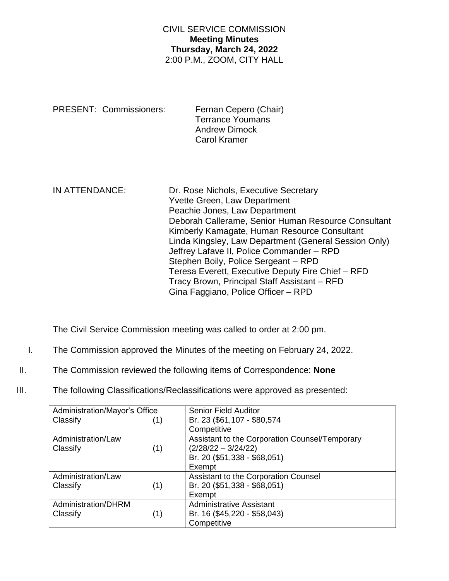## CIVIL SERVICE COMMISSION **Meeting Minutes Thursday, March 24, 2022** 2:00 P.M., ZOOM, CITY HALL

| PRESENT: Commissioners: | Fernan Cepero (Chair)<br><b>Terrance Youmans</b> |
|-------------------------|--------------------------------------------------|
|                         | <b>Andrew Dimock</b>                             |
|                         | <b>Carol Kramer</b>                              |

| IN ATTENDANCE: | Dr. Rose Nichols, Executive Secretary<br>Yvette Green, Law Department<br>Peachie Jones, Law Department<br>Deborah Callerame, Senior Human Resource Consultant<br>Kimberly Kamagate, Human Resource Consultant<br>Linda Kingsley, Law Department (General Session Only)<br>Jeffrey Lafave II, Police Commander - RPD<br>Stephen Boily, Police Sergeant - RPD<br>Teresa Everett, Executive Deputy Fire Chief - RFD<br>Tracy Brown, Principal Staff Assistant - RFD |
|----------------|------------------------------------------------------------------------------------------------------------------------------------------------------------------------------------------------------------------------------------------------------------------------------------------------------------------------------------------------------------------------------------------------------------------------------------------------------------------|
|                | Gina Faggiano, Police Officer - RPD                                                                                                                                                                                                                                                                                                                                                                                                                              |

The Civil Service Commission meeting was called to order at 2:00 pm.

- I. The Commission approved the Minutes of the meeting on February 24, 2022.
- II. The Commission reviewed the following items of Correspondence: **None**
- III. The following Classifications/Reclassifications were approved as presented:

| Administration/Mayor's Office |  | <b>Senior Field Auditor</b>                    |
|-------------------------------|--|------------------------------------------------|
| Classify<br>(1)               |  | Br. 23 (\$61,107 - \$80,574                    |
|                               |  | Competitive                                    |
| Administration/Law            |  | Assistant to the Corporation Counsel/Temporary |
| (1)<br>Classify               |  | $(2/28/22 - 3/24/22)$                          |
|                               |  | Br. 20 (\$51,338 - \$68,051)                   |
|                               |  | Exempt                                         |
| Administration/Law            |  | Assistant to the Corporation Counsel           |
| Classify<br>(1)               |  | Br. 20 (\$51,338 - \$68,051)                   |
|                               |  | Exempt                                         |
| Administration/DHRM           |  | <b>Administrative Assistant</b>                |
| Classify<br>(1)               |  | Br. 16 (\$45,220 - \$58,043)                   |
|                               |  | Competitive                                    |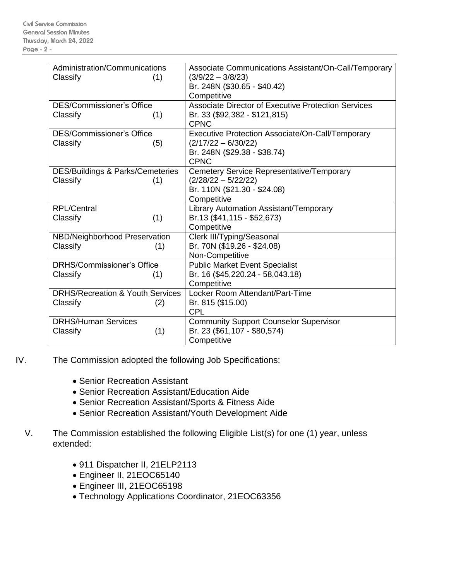| Administration/Communications               | Associate Communications Assistant/On-Call/Temporary       |
|---------------------------------------------|------------------------------------------------------------|
| Classify<br>(1)                             | $(3/9/22 - 3/8/23)$                                        |
|                                             | Br. 248N (\$30.65 - \$40.42)                               |
|                                             | Competitive                                                |
| <b>DES/Commissioner's Office</b>            | <b>Associate Director of Executive Protection Services</b> |
| Classify<br>(1)                             | Br. 33 (\$92,382 - \$121,815)                              |
|                                             | <b>CPNC</b>                                                |
| <b>DES/Commissioner's Office</b>            | Executive Protection Associate/On-Call/Temporary           |
| Classify<br>(5)                             | $(2/17/22 - 6/30/22)$                                      |
|                                             | Br. 248N (\$29.38 - \$38.74)                               |
|                                             | <b>CPNC</b>                                                |
| <b>DES/Buildings &amp; Parks/Cemeteries</b> | Cemetery Service Representative/Temporary                  |
| Classify<br>(1)                             | $(2/28/22 - 5/22/22)$                                      |
|                                             | Br. 110N (\$21.30 - \$24.08)                               |
|                                             | Competitive                                                |
| <b>RPL/Central</b>                          | Library Automation Assistant/Temporary                     |
| (1)<br>Classify                             | Br.13 (\$41,115 - \$52,673)                                |
|                                             | Competitive                                                |
| NBD/Neighborhood Preservation               | Clerk III/Typing/Seasonal                                  |
| Classify<br>(1)                             | Br. 70N (\$19.26 - \$24.08)                                |
|                                             | Non-Competitive                                            |
| <b>DRHS/Commissioner's Office</b>           | <b>Public Market Event Specialist</b>                      |
| Classify<br>(1)                             | Br. 16 (\$45,220.24 - 58,043.18)                           |
|                                             | Competitive                                                |
| <b>DRHS/Recreation &amp; Youth Services</b> | Locker Room Attendant/Part-Time                            |
| Classify<br>(2)                             | Br. 815 (\$15.00)                                          |
|                                             | <b>CPL</b>                                                 |
| <b>DRHS/Human Services</b>                  | <b>Community Support Counselor Supervisor</b>              |
| (1)<br>Classify                             | Br. 23 (\$61,107 - \$80,574)                               |
|                                             | Competitive                                                |

- IV. The Commission adopted the following Job Specifications:
	- Senior Recreation Assistant
	- Senior Recreation Assistant/Education Aide
	- Senior Recreation Assistant/Sports & Fitness Aide
	- Senior Recreation Assistant/Youth Development Aide
	- V. The Commission established the following Eligible List(s) for one (1) year, unless extended:
		- 911 Dispatcher II, 21ELP2113
		- Engineer II, 21EOC65140
		- Engineer III, 21EOC65198
		- Technology Applications Coordinator, 21EOC63356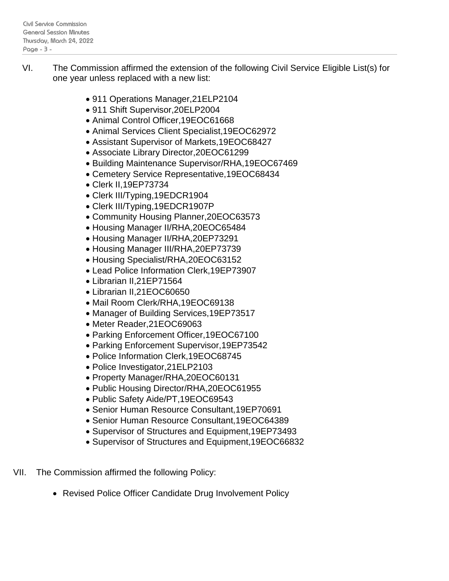- VI. The Commission affirmed the extension of the following Civil Service Eligible List(s) for one year unless replaced with a new list:
	- 911 Operations Manager,21ELP2104
	- 911 Shift Supervisor, 20ELP2004
	- Animal Control Officer,19EOC61668
	- Animal Services Client Specialist,19EOC62972
	- Assistant Supervisor of Markets,19EOC68427
	- Associate Library Director,20EOC61299
	- Building Maintenance Supervisor/RHA,19EOC67469
	- Cemetery Service Representative,19EOC68434
	- Clerk II,19EP73734
	- Clerk III/Typing,19EDCR1904
	- Clerk III/Typing,19EDCR1907P
	- Community Housing Planner,20EOC63573
	- Housing Manager II/RHA,20EOC65484
	- Housing Manager II/RHA,20EP73291
	- Housing Manager III/RHA,20EP73739
	- Housing Specialist/RHA, 20EOC63152
	- Lead Police Information Clerk,19EP73907
	- Librarian II,21EP71564
	- Librarian II,21EOC60650
	- Mail Room Clerk/RHA,19EOC69138
	- Manager of Building Services, 19EP73517
	- Meter Reader,21EOC69063
	- Parking Enforcement Officer,19EOC67100
	- Parking Enforcement Supervisor,19EP73542
	- Police Information Clerk,19EOC68745
	- Police Investigator,21ELP2103
	- Property Manager/RHA,20EOC60131
	- Public Housing Director/RHA, 20EOC61955
	- Public Safety Aide/PT,19EOC69543
	- Senior Human Resource Consultant,19EP70691
	- Senior Human Resource Consultant,19EOC64389
	- Supervisor of Structures and Equipment,19EP73493
	- Supervisor of Structures and Equipment,19EOC66832
- VII. The Commission affirmed the following Policy:
	- Revised Police Officer Candidate Drug Involvement Policy